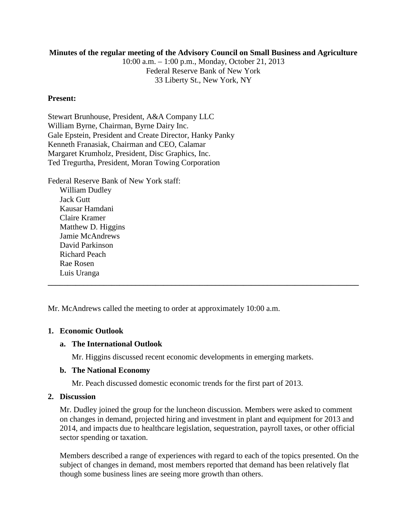### **Minutes of the regular meeting of the Advisory Council on Small Business and Agriculture**

10:00 a.m. – 1:00 p.m., Monday, October 21, 2013 Federal Reserve Bank of New York 33 Liberty St., New York, NY

## **Present:**

Stewart Brunhouse, President, A&A Company LLC William Byrne, Chairman, Byrne Dairy Inc. Gale Epstein, President and Create Director, Hanky Panky Kenneth Franasiak, Chairman and CEO, Calamar Margaret Krumholz, President, Disc Graphics, Inc. Ted Tregurtha, President, Moran Towing Corporation

Federal Reserve Bank of New York staff: William Dudley Jack Gutt Kausar Hamdani Claire Kramer Matthew D. Higgins Jamie McAndrews David Parkinson Richard Peach Rae Rosen Luis Uranga

Mr. McAndrews called the meeting to order at approximately 10:00 a.m.

### **1. Economic Outlook**

# **a. The International Outlook**

Mr. Higgins discussed recent economic developments in emerging markets.

**\_\_\_\_\_\_\_\_\_\_\_\_\_\_\_\_\_\_\_\_\_\_\_\_\_\_\_\_\_\_\_\_\_\_\_\_\_\_\_\_\_\_\_\_\_\_\_\_\_\_\_\_\_\_\_\_\_\_\_\_\_\_\_\_\_\_\_\_\_\_\_\_\_\_\_\_\_\_**

### **b. The National Economy**

Mr. Peach discussed domestic economic trends for the first part of 2013.

## **2. Discussion**

Mr. Dudley joined the group for the luncheon discussion. Members were asked to comment on changes in demand, projected hiring and investment in plant and equipment for 2013 and 2014, and impacts due to healthcare legislation, sequestration, payroll taxes, or other official sector spending or taxation.

Members described a range of experiences with regard to each of the topics presented. On the subject of changes in demand, most members reported that demand has been relatively flat though some business lines are seeing more growth than others.